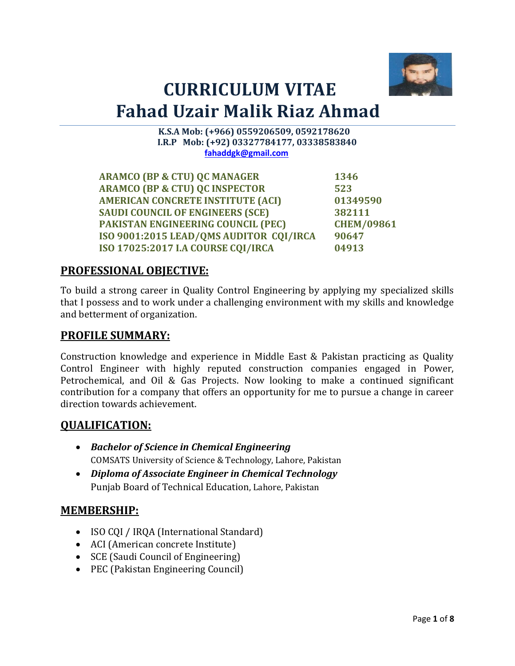

# **CURRICULUM VITAE Fahad Uzair Malik Riaz Ahmad**

 **K.S.A Mob: (+966) 0559206509, 0592178620 I.R.P Mob: (+92) 03327784177, 03338583840 [fahaddgk@gmail.com](mailto:fahaddgk@gmail.com)**

**ARAMCO (BP & CTU) QC MANAGER 1346 ARAMCO (BP & CTU) QC INSPECTOR 523 AMERICAN CONCRETE INSTITUTE (ACI) 01349590 SAUDI COUNCIL OF ENGINEERS (SCE) 382111 PAKISTAN ENGINEERING COUNCIL (PEC) CHEM/09861 ISO 9001:2015 LEAD/QMS AUDITOR CQI/IRCA 90647 ISO 17025:2017 I.A COURSE CQI/IRCA 04913**

#### **PROFESSIONAL OBJECTIVE:**

To build a strong career in Quality Control Engineering by applying my specialized skills that I possess and to work under a challenging environment with my skills and knowledge and betterment of organization.

#### **PROFILE SUMMARY:**

Construction knowledge and experience in Middle East & Pakistan practicing as Quality Control Engineer with highly reputed construction companies engaged in Power, Petrochemical, and Oil & Gas Projects. Now looking to make a continued significant contribution for a company that offers an opportunity for me to pursue a change in career direction towards achievement.

#### **QUALIFICATION:**

- *Bachelor of Science in Chemical Engineering* COMSATS University of Science & Technology, Lahore, Pakistan
- *Diploma of Associate Engineer in Chemical Technology* Punjab Board of Technical Education, Lahore, Pakistan

#### **MEMBERSHIP:**

- ISO CQI / IRQA (International Standard)
- ACI (American concrete Institute)
- SCE (Saudi Council of Engineering)
- PEC (Pakistan Engineering Council)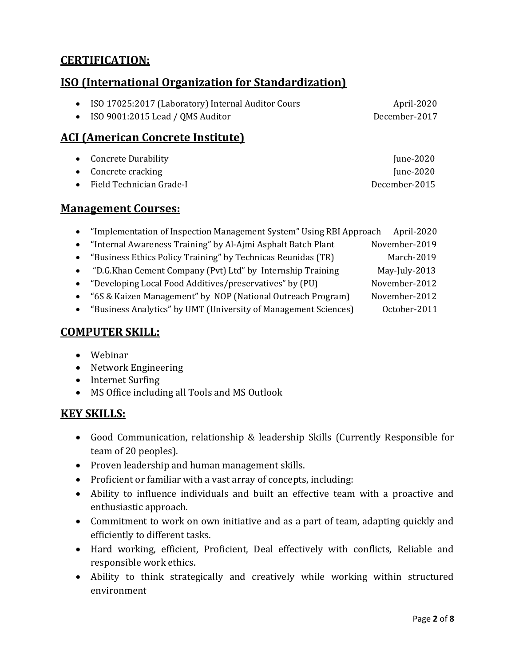# **CERTIFICATION:**

# **ISO (International Organization for Standardization)**

| • ISO 17025:2017 (Laboratory) Internal Auditor Cours | April-2020    |
|------------------------------------------------------|---------------|
| $\bullet$ ISO 9001:2015 Lead / QMS Auditor           | December-2017 |

# **ACI (American Concrete Institute)**

| • Concrete Durability       | June- $2020$  |
|-----------------------------|---------------|
| $\bullet$ Concrete cracking | June- $2020$  |
| • Field Technician Grade-I  | December-2015 |

#### **Management Courses:**

|  |  |  |  | "Implementation of Inspection Management System" Using RBI Approach April-2020 |  |
|--|--|--|--|--------------------------------------------------------------------------------|--|
|--|--|--|--|--------------------------------------------------------------------------------|--|

- "Internal Awareness Training" by Al-Ajmi Asphalt Batch Plant November-2019
- "Business Ethics Policy Training" by Technicas Reunidas (TR) March-2019
- "D.G.Khan Cement Company (Pvt) Ltd" by Internship Training May-July-2013
- "Developing Local Food Additives/preservatives" by (PU) November-2012
- "6S & Kaizen Management" by NOP (National Outreach Program) November-2012
- "Business Analytics" by UMT (University of Management Sciences) October-2011

#### **COMPUTER SKILL:**

- Webinar
- Network Engineering
- Internet Surfing
- MS Office including all Tools and MS Outlook

#### **KEY SKILLS:**

- Good Communication, relationship & leadership Skills (Currently Responsible for team of 20 peoples).
- Proven leadership and human management skills.
- Proficient or familiar with a vast array of concepts, including:
- Ability to influence individuals and built an effective team with a proactive and enthusiastic approach.
- Commitment to work on own initiative and as a part of team, adapting quickly and efficiently to different tasks.
- Hard working, efficient, Proficient, Deal effectively with conflicts, Reliable and responsible work ethics.
- Ability to think strategically and creatively while working within structured environment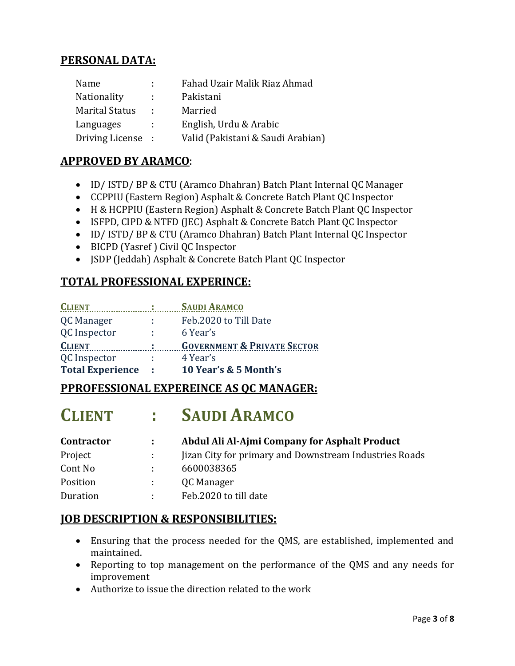# **PERSONAL DATA:**

| Name                  | t.              | Fahad Uzair Malik Riaz Ahmad      |
|-----------------------|-----------------|-----------------------------------|
| Nationality           | t.              | Pakistani                         |
| <b>Marital Status</b> | <b>Contract</b> | Married                           |
| Languages             | t.              | English, Urdu & Arabic            |
| Driving License :     |                 | Valid (Pakistani & Saudi Arabian) |

# **APPROVED BY ARAMCO**:

- ID/ ISTD/ BP & CTU (Aramco Dhahran) Batch Plant Internal QC Manager
- CCPPIU (Eastern Region) Asphalt & Concrete Batch Plant QC Inspector
- H & HCPPIU (Eastern Region) Asphalt & Concrete Batch Plant QC Inspector
- ISFPD, CIPD & NTFD (JEC) Asphalt & Concrete Batch Plant QC Inspector
- ID/ ISTD/ BP & CTU (Aramco Dhahran) Batch Plant Internal QC Inspector
- BICPD (Yasref ) Civil QC Inspector
- JSDP (Jeddah) Asphalt & Concrete Batch Plant QC Inspector

# **TOTAL PROFESSIONAL EXPERINCE:**

| <b>CLIENT</b> |       | <b>SAUDI ARAMCO</b>                    |
|---------------|-------|----------------------------------------|
| QC Manager    |       | Feb.2020 to Till Date                  |
| QC Inspector  | ÷.    | 6 Year's                               |
|               |       |                                        |
| <b>CLIENT</b> | - 100 | <b>GOVERNMENT &amp; PRIVATE SECTOR</b> |
| QC Inspector  |       | 4 Year's                               |

# **PPROFESSIONAL EXPEREINCE AS QC MANAGER:**

# **CLIENT : SAUDI ARAMCO**

| <b>Contractor</b> | $\mathbf{1}$  | Abdul Ali Al-Ajmi Company for Asphalt Product          |
|-------------------|---------------|--------------------------------------------------------|
| Project           | $\mathcal{L}$ | Jizan City for primary and Downstream Industries Roads |
| Cont No           |               | 6600038365                                             |
| Position          | A.            | QC Manager                                             |
| Duration          |               | Feb.2020 to till date                                  |

# **JOB DESCRIPTION & RESPONSIBILITIES:**

- Ensuring that the process needed for the QMS, are established, implemented and maintained.
- Reporting to top management on the performance of the QMS and any needs for improvement
- Authorize to issue the direction related to the work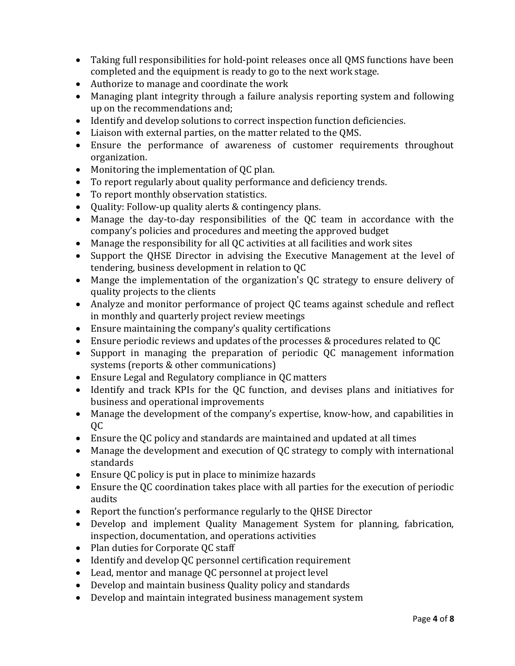- Taking full responsibilities for hold-point releases once all QMS functions have been completed and the equipment is ready to go to the next work stage.
- Authorize to manage and coordinate the work
- Managing plant integrity through a failure analysis reporting system and following up on the recommendations and;
- Identify and develop solutions to correct inspection function deficiencies.
- Liaison with external parties, on the matter related to the QMS.
- Ensure the performance of awareness of customer requirements throughout organization.
- Monitoring the implementation of QC plan.
- To report regularly about quality performance and deficiency trends.
- To report monthly observation statistics.
- Quality: Follow-up quality alerts & contingency plans.
- Manage the day-to-day responsibilities of the QC team in accordance with the company's policies and procedures and meeting the approved budget
- Manage the responsibility for all QC activities at all facilities and work sites
- Support the QHSE Director in advising the Executive Management at the level of tendering, business development in relation to QC
- Mange the implementation of the organization's QC strategy to ensure delivery of quality projects to the clients
- Analyze and monitor performance of project QC teams against schedule and reflect in monthly and quarterly project review meetings
- Ensure maintaining the company's quality certifications
- Ensure periodic reviews and updates of the processes & procedures related to QC
- Support in managing the preparation of periodic QC management information systems (reports & other communications)
- Ensure Legal and Regulatory compliance in QC matters
- Identify and track KPIs for the QC function, and devises plans and initiatives for business and operational improvements
- Manage the development of the company's expertise, know-how, and capabilities in QC
- Ensure the QC policy and standards are maintained and updated at all times
- Manage the development and execution of QC strategy to comply with international standards
- Ensure QC policy is put in place to minimize hazards
- Ensure the QC coordination takes place with all parties for the execution of periodic audits
- Report the function's performance regularly to the QHSE Director
- Develop and implement Quality Management System for planning, fabrication, inspection, documentation, and operations activities
- Plan duties for Corporate QC staff
- Identify and develop QC personnel certification requirement
- Lead, mentor and manage QC personnel at project level
- Develop and maintain business Quality policy and standards
- Develop and maintain integrated business management system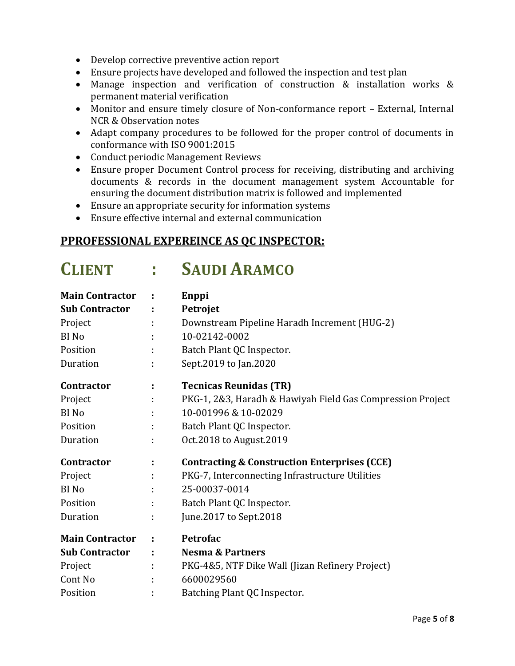- Develop corrective preventive action report
- Ensure projects have developed and followed the inspection and test plan
- Manage inspection and verification of construction & installation works & permanent material verification
- Monitor and ensure timely closure of Non-conformance report External, Internal NCR & Observation notes
- Adapt company procedures to be followed for the proper control of documents in conformance with ISO 9001:2015
- Conduct periodic Management Reviews
- Ensure proper Document Control process for receiving, distributing and archiving documents & records in the document management system Accountable for ensuring the document distribution matrix is followed and implemented
- Ensure an appropriate security for information systems
- Ensure effective internal and external communication

#### **PPROFESSIONAL EXPEREINCE AS QC INSPECTOR:**

# **CLIENT : SAUDI ARAMCO**

| <b>Main Contractor</b> |   | Enppi                                                      |
|------------------------|---|------------------------------------------------------------|
| <b>Sub Contractor</b>  |   | Petrojet                                                   |
| Project                |   | Downstream Pipeline Haradh Increment (HUG-2)               |
| <b>BI</b> No           |   | 10-02142-0002                                              |
| Position               |   | Batch Plant QC Inspector.                                  |
| Duration               |   | Sept.2019 to Jan.2020                                      |
| <b>Contractor</b>      |   | <b>Tecnicas Reunidas (TR)</b>                              |
| Project                |   | PKG-1, 2&3, Haradh & Hawiyah Field Gas Compression Project |
| BI No                  |   | 10-001996 & 10-02029                                       |
| Position               |   | Batch Plant QC Inspector.                                  |
| Duration               |   | Oct.2018 to August.2019                                    |
| <b>Contractor</b>      |   | <b>Contracting &amp; Construction Enterprises (CCE)</b>    |
| Project                |   | PKG-7, Interconnecting Infrastructure Utilities            |
| BI No                  |   | 25-00037-0014                                              |
| Position               |   | Batch Plant QC Inspector.                                  |
| Duration               |   | June.2017 to Sept.2018                                     |
| <b>Main Contractor</b> | ÷ | Petrofac                                                   |
| <b>Sub Contractor</b>  |   | <b>Nesma &amp; Partners</b>                                |
| Project                |   | PKG-4&5, NTF Dike Wall (Jizan Refinery Project)            |
| Cont No                |   | 6600029560                                                 |
| Position               |   | Batching Plant QC Inspector.                               |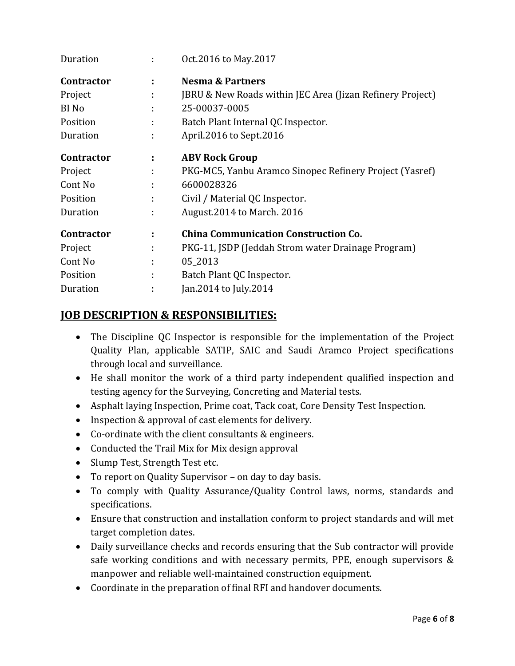| Duration          |   | Oct.2016 to May.2017                                      |
|-------------------|---|-----------------------------------------------------------|
| <b>Contractor</b> | ÷ | <b>Nesma &amp; Partners</b>                               |
| Project           | ÷ | JBRU & New Roads within JEC Area (Jizan Refinery Project) |
| BI No             | ÷ | 25-00037-0005                                             |
| Position          | ÷ | Batch Plant Internal QC Inspector.                        |
| Duration          | ÷ | April.2016 to Sept.2016                                   |
| <b>Contractor</b> | ÷ | <b>ABV Rock Group</b>                                     |
| Project           | t | PKG-MC5, Yanbu Aramco Sinopec Refinery Project (Yasref)   |
| Cont No           | ÷ | 6600028326                                                |
| Position          |   | Civil / Material QC Inspector.                            |
| Duration          | ÷ | August. 2014 to March. 2016                               |
| Contractor        | ÷ | <b>China Communication Construction Co.</b>               |
| Project           | ÷ | PKG-11, JSDP (Jeddah Strom water Drainage Program)        |
| Cont No           | ÷ | 05 2013                                                   |
| Position          | ÷ | Batch Plant QC Inspector.                                 |
| Duration          |   | Jan. 2014 to July. 2014                                   |

# **JOB DESCRIPTION & RESPONSIBILITIES:**

- The Discipline QC Inspector is responsible for the implementation of the Project Quality Plan, applicable SATIP, SAIC and Saudi Aramco Project specifications through local and surveillance.
- He shall monitor the work of a third party independent qualified inspection and testing agency for the Surveying, Concreting and Material tests.
- Asphalt laying Inspection, Prime coat, Tack coat, Core Density Test Inspection.
- Inspection & approval of cast elements for delivery.
- Co-ordinate with the client consultants & engineers.
- Conducted the Trail Mix for Mix design approval
- Slump Test, Strength Test etc.
- To report on Quality Supervisor on day to day basis.
- To comply with Quality Assurance/Quality Control laws, norms, standards and specifications.
- Ensure that construction and installation conform to project standards and will met target completion dates.
- Daily surveillance checks and records ensuring that the Sub contractor will provide safe working conditions and with necessary permits, PPE, enough supervisors & manpower and reliable well-maintained construction equipment.
- Coordinate in the preparation of final RFI and handover documents.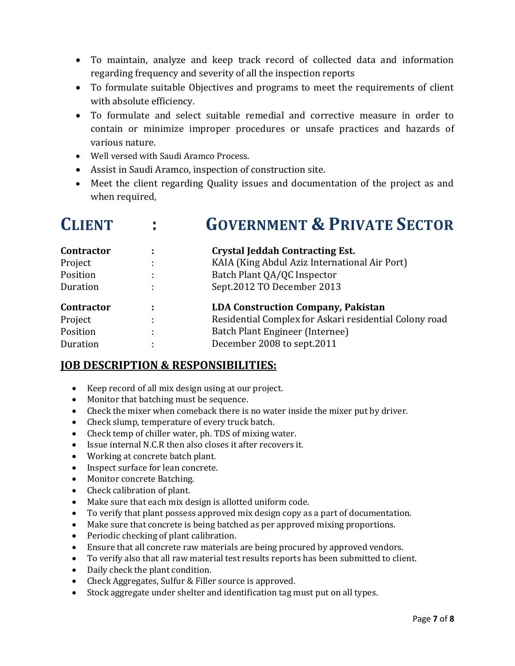- To maintain, analyze and keep track record of collected data and information regarding frequency and severity of all the inspection reports
- To formulate suitable Objectives and programs to meet the requirements of client with absolute efficiency.
- To formulate and select suitable remedial and corrective measure in order to contain or minimize improper procedures or unsafe practices and hazards of various nature.
- Well versed with Saudi Aramco Process.
- Assist in Saudi Aramco, inspection of construction site.
- Meet the client regarding Quality issues and documentation of the project as and when required,

| <b>CLIENT</b>     |   | <b>GOVERNMENT &amp; PRIVATE SECTOR</b>                 |
|-------------------|---|--------------------------------------------------------|
| <b>Contractor</b> | ٠ | <b>Crystal Jeddah Contracting Est.</b>                 |
| Project           |   | KAIA (King Abdul Aziz International Air Port)          |
| Position          |   | Batch Plant QA/QC Inspector                            |
| Duration          |   | Sept.2012 TO December 2013                             |
| <b>Contractor</b> |   | <b>LDA Construction Company, Pakistan</b>              |
| Project           |   | Residential Complex for Askari residential Colony road |
| Position          |   | Batch Plant Engineer (Internee)                        |
| Duration          |   | December 2008 to sept.2011                             |

# **JOB DESCRIPTION & RESPONSIBILITIES:**

- Keep record of all mix design using at our project.
- Monitor that batching must be sequence.
- Check the mixer when comeback there is no water inside the mixer put by driver.
- Check slump, temperature of every truck batch.
- Check temp of chiller water, ph. TDS of mixing water.
- Issue internal N.C.R then also closes it after recovers it.
- Working at concrete batch plant.
- Inspect surface for lean concrete.
- Monitor concrete Batching.
- Check calibration of plant.
- Make sure that each mix design is allotted uniform code.
- To verify that plant possess approved mix design copy as a part of documentation.
- Make sure that concrete is being batched as per approved mixing proportions.
- Periodic checking of plant calibration.
- Ensure that all concrete raw materials are being procured by approved vendors.
- To verify also that all raw material test results reports has been submitted to client.
- Daily check the plant condition.
- Check Aggregates, Sulfur & Filler source is approved.
- Stock aggregate under shelter and identification tag must put on all types.